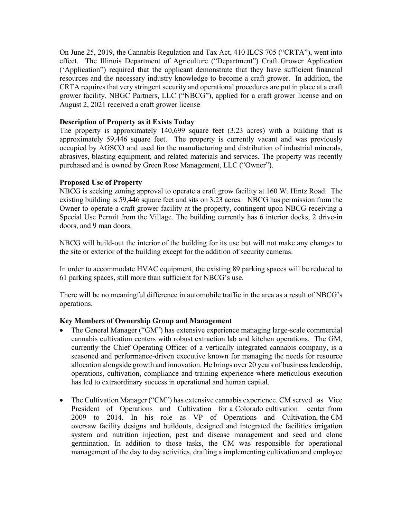On June 25, 2019, the Cannabis Regulation and Tax Act, 410 ILCS 705 ("CRTA"), went into effect. The Illinois Department of Agriculture ("Department") Craft Grower Application ('Application") required that the applicant demonstrate that they have sufficient financial resources and the necessary industry knowledge to become a craft grower. In addition, the CRTA requires that very stringent security and operational procedures are put in place at a craft grower facility. NBGC Partners, LLC ("NBCG"), applied for a craft grower license and on August 2, 2021 received a craft grower license

## **Description of Property as it Exists Today**

The property is approximately 140,699 square feet (3.23 acres) with a building that is approximately 59,446 square feet. The property is currently vacant and was previously occupied by AGSCO and used for the manufacturing and distribution of industrial minerals, abrasives, blasting equipment, and related materials and services. The property was recently purchased and is owned by Green Rose Management, LLC ("Owner").

# **Proposed Use of Property**

NBCG is seeking zoning approval to operate a craft grow facility at 160 W. Hintz Road. The existing building is 59,446 square feet and sits on 3.23 acres. NBCG has permission from the Owner to operate a craft grower facility at the property, contingent upon NBCG receiving a Special Use Permit from the Village. The building currently has 6 interior docks, 2 drive-in doors, and 9 man doors.

NBCG will build-out the interior of the building for its use but will not make any changes to the site or exterior of the building except for the addition of security cameras.

In order to accommodate HVAC equipment, the existing 89 parking spaces will be reduced to 61 parking spaces, still more than sufficient for NBCG's use.

There will be no meaningful difference in automobile traffic in the area as a result of NBCG's operations.

# **Key Members of Ownership Group and Management**

- The General Manager ("GM") has extensive experience managing large-scale commercial cannabis cultivation centers with robust extraction lab and kitchen operations. The GM, currently the Chief Operating Officer of a vertically integrated cannabis company, is a seasoned and performance-driven executive known for managing the needs for resource allocation alongside growth and innovation. He brings over 20 years of business leadership, operations, cultivation, compliance and training experience where meticulous execution has led to extraordinary success in operational and human capital.
- The Cultivation Manager ("CM") has extensive cannabis experience. CM served as Vice President of Operations and Cultivation for a Colorado cultivation center from 2009 to 2014. In his role as VP of Operations and Cultivation, the CM oversaw facility designs and buildouts, designed and integrated the facilities irrigation system and nutrition injection, pest and disease management and seed and clone germination. In addition to those tasks, the CM was responsible for operational management of the day to day activities, drafting a implementing cultivation and employee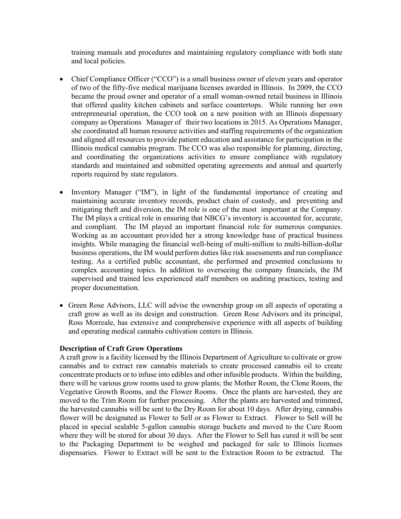training manuals and procedures and maintaining regulatory compliance with both state and local policies.

- Chief Compliance Officer ("CCO") is a small business owner of eleven years and operator of two of the fifty-five medical marijuana licenses awarded in Illinois. In 2009, the CCO became the proud owner and operator of a small woman-owned retail business in Illinois that offered quality kitchen cabinets and surface countertops. While running her own entrepreneurial operation, the CCO took on a new position with an Illinois dispensary company as Operations Manager of their two locations in 2015. As Operations Manager, she coordinated all human resource activities and staffing requirements of the organization and aligned all resources to provide patient education and assistance for participation in the Illinois medical cannabis program. The CCO was also responsible for planning, directing, and coordinating the organizations activities to ensure compliance with regulatory standards and maintained and submitted operating agreements and annual and quarterly reports required by state regulators.
- Inventory Manager ("IM"), in light of the fundamental importance of creating and maintaining accurate inventory records, product chain of custody, and preventing and mitigating theft and diversion, the IM role is one of the most important at the Company. The IM plays a critical role in ensuring that NBCG's inventory is accounted for, accurate, and compliant. The IM played an important financial role for numerous companies. Working as an accountant provided her a strong knowledge base of practical business insights. While managing the financial well-being of multi-million to multi-billion-dollar business operations, the IM would perform duties like risk assessments and run compliance testing. As a certified public accountant, she performed and presented conclusions to complex accounting topics. In addition to overseeing the company financials, the IM supervised and trained less experienced staff members on auditing practices, testing and proper documentation.
- Green Rose Advisors, LLC will advise the ownership group on all aspects of operating a craft grow as well as its design and construction. Green Rose Advisors and its principal, Ross Morreale, has extensive and comprehensive experience with all aspects of building and operating medical cannabis cultivation centers in Illinois.

#### **Description of Craft Grow Operations**

A craft grow is a facility licensed by the Illinois Department of Agriculture to cultivate or grow cannabis and to extract raw cannabis materials to create processed cannabis oil to create concentrate products or to infuse into edibles and other infusible products. Within the building, there will be various grow rooms used to grow plants; the Mother Room, the Clone Room, the Vegetative Growth Rooms, and the Flower Rooms. Once the plants are harvested, they are moved to the Trim Room for further processing. After the plants are harvested and trimmed, the harvested cannabis will be sent to the Dry Room for about 10 days. After drying, cannabis flower will be designated as Flower to Sell or as Flower to Extract. Flower to Sell will be placed in special sealable 5-gallon cannabis storage buckets and moved to the Cure Room where they will be stored for about 30 days. After the Flower to Sell has cured it will be sent to the Packaging Department to be weighed and packaged for sale to Illinois licenses dispensaries. Flower to Extract will be sent to the Extraction Room to be extracted. The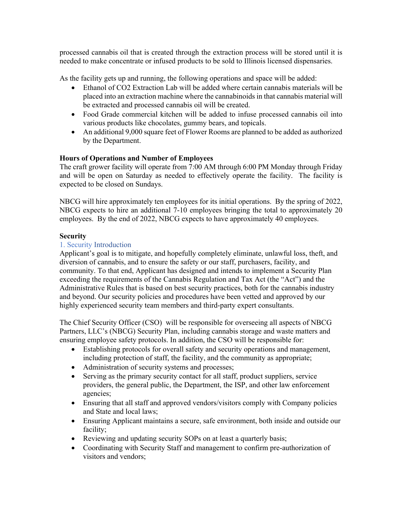processed cannabis oil that is created through the extraction process will be stored until it is needed to make concentrate or infused products to be sold to Illinois licensed dispensaries.

As the facility gets up and running, the following operations and space will be added:

- Ethanol of CO2 Extraction Lab will be added where certain cannabis materials will be placed into an extraction machine where the cannabinoids in that cannabis material will be extracted and processed cannabis oil will be created.
- Food Grade commercial kitchen will be added to infuse processed cannabis oil into various products like chocolates, gummy bears, and topicals.
- An additional 9,000 square feet of Flower Rooms are planned to be added as authorized by the Department.

# **Hours of Operations and Number of Employees**

The craft grower facility will operate from 7:00 AM through 6:00 PM Monday through Friday and will be open on Saturday as needed to effectively operate the facility. The facility is expected to be closed on Sundays.

NBCG will hire approximately ten employees for its initial operations. By the spring of 2022, NBCG expects to hire an additional 7-10 employees bringing the total to approximately 20 employees. By the end of 2022, NBCG expects to have approximately 40 employees.

## **Security**

#### 1. Security Introduction

Applicant's goal is to mitigate, and hopefully completely eliminate, unlawful loss, theft, and diversion of cannabis, and to ensure the safety or our staff, purchasers, facility, and community. To that end, Applicant has designed and intends to implement a Security Plan exceeding the requirements of the Cannabis Regulation and Tax Act (the "Act") and the Administrative Rules that is based on best security practices, both for the cannabis industry and beyond. Our security policies and procedures have been vetted and approved by our highly experienced security team members and third-party expert consultants.

The Chief Security Officer (CSO) will be responsible for overseeing all aspects of NBCG Partners, LLC's (NBCG) Security Plan, including cannabis storage and waste matters and ensuring employee safety protocols. In addition, the CSO will be responsible for:

- Establishing protocols for overall safety and security operations and management, including protection of staff, the facility, and the community as appropriate;
- Administration of security systems and processes;
- Serving as the primary security contact for all staff, product suppliers, service providers, the general public, the Department, the ISP, and other law enforcement agencies;
- Ensuring that all staff and approved vendors/visitors comply with Company policies and State and local laws;
- Ensuring Applicant maintains a secure, safe environment, both inside and outside our facility;
- Reviewing and updating security SOPs on at least a quarterly basis;
- Coordinating with Security Staff and management to confirm pre-authorization of visitors and vendors;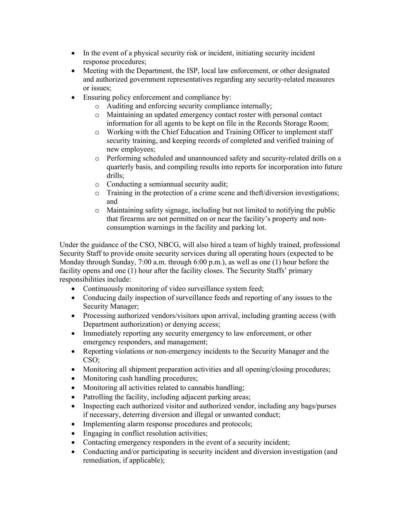- In the event of a physical security risk or incident, initiating security incident response procedures;
- Meeting with the Department, the ISP, local law enforcement, or other designated and authorized government representatives regarding any security-related measures or issues;
- Ensuring policy enforcement and compliance by:
	- o Auditing and enforcing security compliance internally;
	- o Maintaining an updated emergency contact roster with personal contact information for all agents to be kept on file in the Records Storage Room;
	- o Working with the Chief Education and Training Officer to implement staff security training, and keeping records of completed and verified training of new employees;
	- o Performing scheduled and unannounced safety and security-related drills on a quarterly basis, and compiling results into reports for incorporation into future drills;
	- o Conducting a semiannual security audit;
	- o Training in the protection of a crime scene and theft/diversion investigations; and
	- o Maintaining safety signage, including but not limited to notifying the public that firearms are not permitted on or near the facility's property and nonconsumption warnings in the facility and parking lot.

Under the guidance of the CSO, NBCG, will also hired a team of highly trained, professional Security Staff to provide onsite security services during all operating hours (expected to be Monday through Sunday, 7:00 a.m. through 6:00 p.m.), as well as one (1) hour before the facility opens and one (1) hour after the facility closes. The Security Staffs' primary responsibilities include:

- Continuously monitoring of video surveillance system feed;
- Conducing daily inspection of surveillance feeds and reporting of any issues to the Security Manager;
- Processing authorized vendors/visitors upon arrival, including granting access (with Department authorization) or denying access;
- Immediately reporting any security emergency to law enforcement, or other emergency responders, and management;
- Reporting violations or non-emergency incidents to the Security Manager and the CSO;
- Monitoring all shipment preparation activities and all opening/closing procedures;
- Monitoring cash handling procedures;
- Monitoring all activities related to cannabis handling;
- Patrolling the facility, including adjacent parking areas;
- Inspecting each authorized visitor and authorized vendor, including any bags/purses if necessary, deterring diversion and illegal or unwanted conduct;
- Implementing alarm response procedures and protocols;
- Engaging in conflict resolution activities;
- Contacting emergency responders in the event of a security incident;
- Conducting and/or participating in security incident and diversion investigation (and remediation, if applicable);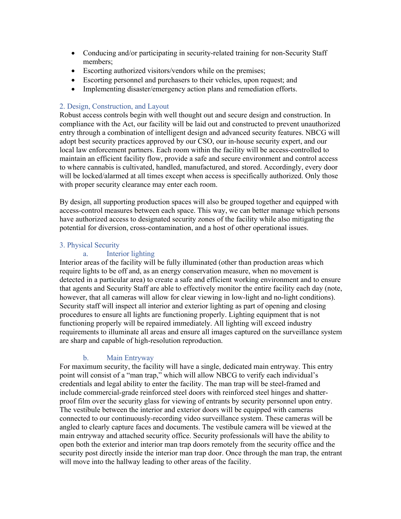- Conducing and/or participating in security-related training for non-Security Staff members;
- Escorting authorized visitors/vendors while on the premises;
- Escorting personnel and purchasers to their vehicles, upon request; and
- Implementing disaster/emergency action plans and remediation efforts.

## 2. Design, Construction, and Layout

Robust access controls begin with well thought out and secure design and construction. In compliance with the Act, our facility will be laid out and constructed to prevent unauthorized entry through a combination of intelligent design and advanced security features. NBCG will adopt best security practices approved by our CSO, our in-house security expert, and our local law enforcement partners. Each room within the facility will be access-controlled to maintain an efficient facility flow, provide a safe and secure environment and control access to where cannabis is cultivated, handled, manufactured, and stored. Accordingly, every door will be locked/alarmed at all times except when access is specifically authorized. Only those with proper security clearance may enter each room.

By design, all supporting production spaces will also be grouped together and equipped with access-control measures between each space. This way, we can better manage which persons have authorized access to designated security zones of the facility while also mitigating the potential for diversion, cross-contamination, and a host of other operational issues.

## 3. Physical Security

## a. Interior lighting

Interior areas of the facility will be fully illuminated (other than production areas which require lights to be off and, as an energy conservation measure, when no movement is detected in a particular area) to create a safe and efficient working environment and to ensure that agents and Security Staff are able to effectively monitor the entire facility each day (note, however, that all cameras will allow for clear viewing in low-light and no-light conditions). Security staff will inspect all interior and exterior lighting as part of opening and closing procedures to ensure all lights are functioning properly. Lighting equipment that is not functioning properly will be repaired immediately. All lighting will exceed industry requirements to illuminate all areas and ensure all images captured on the surveillance system are sharp and capable of high-resolution reproduction.

# b. Main Entryway

For maximum security, the facility will have a single, dedicated main entryway. This entry point will consist of a "man trap," which will allow NBCG to verify each individual's credentials and legal ability to enter the facility. The man trap will be steel-framed and include commercial-grade reinforced steel doors with reinforced steel hinges and shatterproof film over the security glass for viewing of entrants by security personnel upon entry. The vestibule between the interior and exterior doors will be equipped with cameras connected to our continuously-recording video surveillance system. These cameras will be angled to clearly capture faces and documents. The vestibule camera will be viewed at the main entryway and attached security office. Security professionals will have the ability to open both the exterior and interior man trap doors remotely from the security office and the security post directly inside the interior man trap door. Once through the man trap, the entrant will move into the hallway leading to other areas of the facility.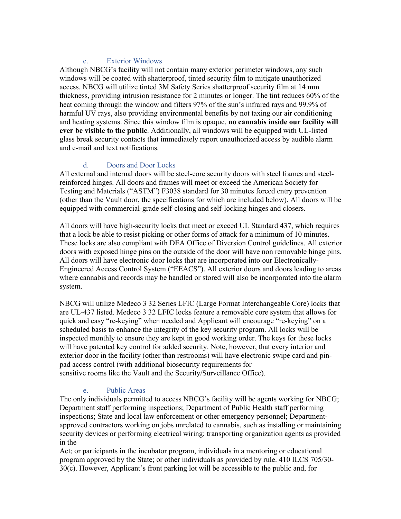# c. Exterior Windows

Although NBCG's facility will not contain many exterior perimeter windows, any such windows will be coated with shatterproof, tinted security film to mitigate unauthorized access. NBCG will utilize tinted 3M Safety Series shatterproof security film at 14 mm thickness, providing intrusion resistance for 2 minutes or longer. The tint reduces 60% of the heat coming through the window and filters 97% of the sun's infrared rays and 99.9% of harmful UV rays, also providing environmental benefits by not taxing our air conditioning and heating systems. Since this window film is opaque, **no cannabis inside our facility will ever be visible to the public**. Additionally, all windows will be equipped with UL-listed glass break security contacts that immediately report unauthorized access by audible alarm and e-mail and text notifications.

# d. Doors and Door Locks

All external and internal doors will be steel-core security doors with steel frames and steelreinforced hinges. All doors and frames will meet or exceed the American Society for Testing and Materials ("ASTM") F3038 standard for 30 minutes forced entry prevention (other than the Vault door, the specifications for which are included below). All doors will be equipped with commercial-grade self-closing and self-locking hinges and closers.

All doors will have high-security locks that meet or exceed UL Standard 437, which requires that a lock be able to resist picking or other forms of attack for a minimum of 10 minutes. These locks are also compliant with DEA Office of Diversion Control guidelines. All exterior doors with exposed hinge pins on the outside of the door will have non removable hinge pins. All doors will have electronic door locks that are incorporated into our Electronically-Engineered Access Control System ("EEACS"). All exterior doors and doors leading to areas where cannabis and records may be handled or stored will also be incorporated into the alarm system.

NBCG will utilize Medeco 3 32 Series LFIC (Large Format Interchangeable Core) locks that are UL-437 listed. Medeco 3 32 LFIC locks feature a removable core system that allows for quick and easy "re-keying" when needed and Applicant will encourage "re-keying" on a scheduled basis to enhance the integrity of the key security program. All locks will be inspected monthly to ensure they are kept in good working order. The keys for these locks will have patented key control for added security. Note, however, that every interior and exterior door in the facility (other than restrooms) will have electronic swipe card and pinpad access control (with additional biosecurity requirements for sensitive rooms like the Vault and the Security/Surveillance Office).

# e. Public Areas

The only individuals permitted to access NBCG's facility will be agents working for NBCG; Department staff performing inspections; Department of Public Health staff performing inspections; State and local law enforcement or other emergency personnel; Departmentapproved contractors working on jobs unrelated to cannabis, such as installing or maintaining security devices or performing electrical wiring; transporting organization agents as provided in the

Act; or participants in the incubator program, individuals in a mentoring or educational program approved by the State; or other individuals as provided by rule. 410 ILCS 705/30- 30(c). However, Applicant's front parking lot will be accessible to the public and, for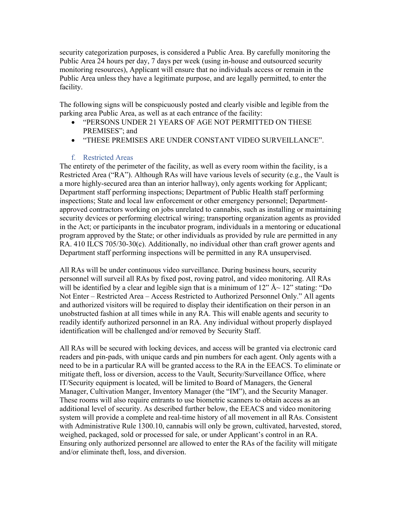security categorization purposes, is considered a Public Area. By carefully monitoring the Public Area 24 hours per day, 7 days per week (using in-house and outsourced security monitoring resources), Applicant will ensure that no individuals access or remain in the Public Area unless they have a legitimate purpose, and are legally permitted, to enter the facility.

The following signs will be conspicuously posted and clearly visible and legible from the parking area Public Area, as well as at each entrance of the facility:

- "PERSONS UNDER 21 YEARS OF AGE NOT PERMITTED ON THESE PREMISES"; and
- "THESE PREMISES ARE UNDER CONSTANT VIDEO SURVEILLANCE".

## f. Restricted Areas

The entirety of the perimeter of the facility, as well as every room within the facility, is a Restricted Area ("RA"). Although RAs will have various levels of security (e.g., the Vault is a more highly-secured area than an interior hallway), only agents working for Applicant; Department staff performing inspections; Department of Public Health staff performing inspections; State and local law enforcement or other emergency personnel; Departmentapproved contractors working on jobs unrelated to cannabis, such as installing or maintaining security devices or performing electrical wiring; transporting organization agents as provided in the Act; or participants in the incubator program, individuals in a mentoring or educational program approved by the State; or other individuals as provided by rule are permitted in any RA. 410 ILCS 705/30-30(c). Additionally, no individual other than craft grower agents and Department staff performing inspections will be permitted in any RA unsupervised.

All RAs will be under continuous video surveillance. During business hours, security personnel will surveil all RAs by fixed post, roving patrol, and video monitoring. All RAs will be identified by a clear and legible sign that is a minimum of  $12"$  Å $\sim$   $12"$  stating: "Do Not Enter – Restricted Area – Access Restricted to Authorized Personnel Only." All agents and authorized visitors will be required to display their identification on their person in an unobstructed fashion at all times while in any RA. This will enable agents and security to readily identify authorized personnel in an RA. Any individual without properly displayed identification will be challenged and/or removed by Security Staff.

All RAs will be secured with locking devices, and access will be granted via electronic card readers and pin-pads, with unique cards and pin numbers for each agent. Only agents with a need to be in a particular RA will be granted access to the RA in the EEACS. To eliminate or mitigate theft, loss or diversion, access to the Vault, Security/Surveillance Office, where IT/Security equipment is located, will be limited to Board of Managers, the General Manager, Cultivation Manger, Inventory Manager (the "IM"), and the Security Manager. These rooms will also require entrants to use biometric scanners to obtain access as an additional level of security. As described further below, the EEACS and video monitoring system will provide a complete and real-time history of all movement in all RAs. Consistent with Administrative Rule 1300.10, cannabis will only be grown, cultivated, harvested, stored, weighed, packaged, sold or processed for sale, or under Applicant's control in an RA. Ensuring only authorized personnel are allowed to enter the RAs of the facility will mitigate and/or eliminate theft, loss, and diversion.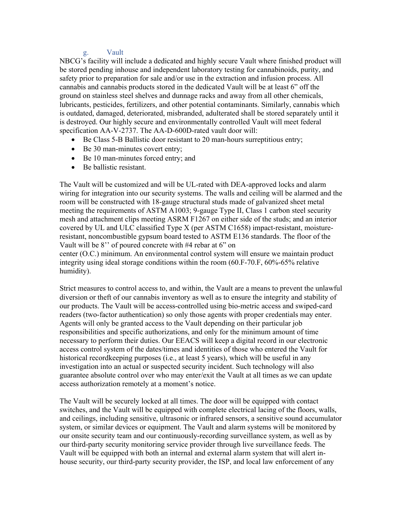# g. Vault

NBCG's facility will include a dedicated and highly secure Vault where finished product will be stored pending inhouse and independent laboratory testing for cannabinoids, purity, and safety prior to preparation for sale and/or use in the extraction and infusion process. All cannabis and cannabis products stored in the dedicated Vault will be at least 6" off the ground on stainless steel shelves and dunnage racks and away from all other chemicals, lubricants, pesticides, fertilizers, and other potential contaminants. Similarly, cannabis which is outdated, damaged, deteriorated, misbranded, adulterated shall be stored separately until it is destroyed. Our highly secure and environmentally controlled Vault will meet federal specification AA-V-2737. The AA-D-600D-rated vault door will:

- Be Class 5-B Ballistic door resistant to 20 man-hours surreptitious entry;
- Be 30 man-minutes covert entry;
- Be 10 man-minutes forced entry; and
- Be ballistic resistant.

The Vault will be customized and will be UL-rated with DEA-approved locks and alarm wiring for integration into our security systems. The walls and ceiling will be alarmed and the room will be constructed with 18-gauge structural studs made of galvanized sheet metal meeting the requirements of ASTM A1003; 9-gauge Type II, Class 1 carbon steel security mesh and attachment clips meeting ASRM F1267 on either side of the studs; and an interior covered by UL and ULC classified Type X (per ASTM C1658) impact-resistant, moistureresistant, noncombustible gypsum board tested to ASTM E136 standards. The floor of the Vault will be 8'' of poured concrete with #4 rebar at 6" on center (O.C.) minimum. An environmental control system will ensure we maintain product

integrity using ideal storage conditions within the room (60.F-70.F, 60%-65% relative humidity).

Strict measures to control access to, and within, the Vault are a means to prevent the unlawful diversion or theft of our cannabis inventory as well as to ensure the integrity and stability of our products. The Vault will be access-controlled using bio-metric access and swiped-card readers (two-factor authentication) so only those agents with proper credentials may enter. Agents will only be granted access to the Vault depending on their particular job responsibilities and specific authorizations, and only for the minimum amount of time necessary to perform their duties. Our EEACS will keep a digital record in our electronic access control system of the dates/times and identities of those who entered the Vault for historical recordkeeping purposes (i.e., at least 5 years), which will be useful in any investigation into an actual or suspected security incident. Such technology will also guarantee absolute control over who may enter/exit the Vault at all times as we can update access authorization remotely at a moment's notice.

The Vault will be securely locked at all times. The door will be equipped with contact switches, and the Vault will be equipped with complete electrical lacing of the floors, walls, and ceilings, including sensitive, ultrasonic or infrared sensors, a sensitive sound accumulator system, or similar devices or equipment. The Vault and alarm systems will be monitored by our onsite security team and our continuously-recording surveillance system, as well as by our third-party security monitoring service provider through live surveillance feeds. The Vault will be equipped with both an internal and external alarm system that will alert inhouse security, our third-party security provider, the ISP, and local law enforcement of any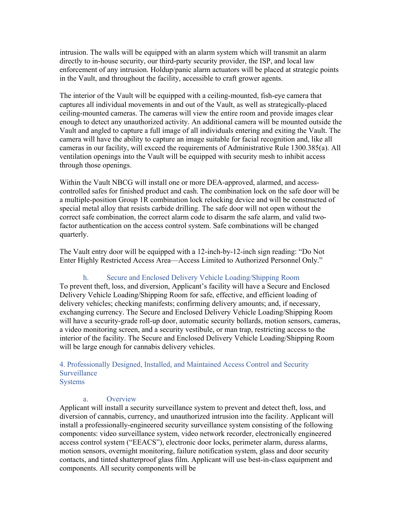intrusion. The walls will be equipped with an alarm system which will transmit an alarm directly to in-house security, our third-party security provider, the ISP, and local law enforcement of any intrusion. Holdup/panic alarm actuators will be placed at strategic points in the Vault, and throughout the facility, accessible to craft grower agents.

The interior of the Vault will be equipped with a ceiling-mounted, fish-eye camera that captures all individual movements in and out of the Vault, as well as strategically-placed ceiling-mounted cameras. The cameras will view the entire room and provide images clear enough to detect any unauthorized activity. An additional camera will be mounted outside the Vault and angled to capture a full image of all individuals entering and exiting the Vault. The camera will have the ability to capture an image suitable for facial recognition and, like all cameras in our facility, will exceed the requirements of Administrative Rule 1300.385(a). All ventilation openings into the Vault will be equipped with security mesh to inhibit access through those openings.

Within the Vault NBCG will install one or more DEA-approved, alarmed, and accesscontrolled safes for finished product and cash. The combination lock on the safe door will be a multiple-position Group 1R combination lock relocking device and will be constructed of special metal alloy that resists carbide drilling. The safe door will not open without the correct safe combination, the correct alarm code to disarm the safe alarm, and valid twofactor authentication on the access control system. Safe combinations will be changed quarterly.

The Vault entry door will be equipped with a 12-inch-by-12-inch sign reading: "Do Not Enter Highly Restricted Access Area—Access Limited to Authorized Personnel Only."

#### h. Secure and Enclosed Delivery Vehicle Loading/Shipping Room

To prevent theft, loss, and diversion, Applicant's facility will have a Secure and Enclosed Delivery Vehicle Loading/Shipping Room for safe, effective, and efficient loading of delivery vehicles; checking manifests; confirming delivery amounts; and, if necessary, exchanging currency. The Secure and Enclosed Delivery Vehicle Loading/Shipping Room will have a security-grade roll-up door, automatic security bollards, motion sensors, cameras, a video monitoring screen, and a security vestibule, or man trap, restricting access to the interior of the facility. The Secure and Enclosed Delivery Vehicle Loading/Shipping Room will be large enough for cannabis delivery vehicles.

#### 4. Professionally Designed, Installed, and Maintained Access Control and Security **Surveillance** Systems

#### a. Overview

Applicant will install a security surveillance system to prevent and detect theft, loss, and diversion of cannabis, currency, and unauthorized intrusion into the facility. Applicant will install a professionally-engineered security surveillance system consisting of the following components: video surveillance system, video network recorder, electronically engineered access control system ("EEACS"), electronic door locks, perimeter alarm, duress alarms, motion sensors, overnight monitoring, failure notification system, glass and door security contacts, and tinted shatterproof glass film. Applicant will use best-in-class equipment and components. All security components will be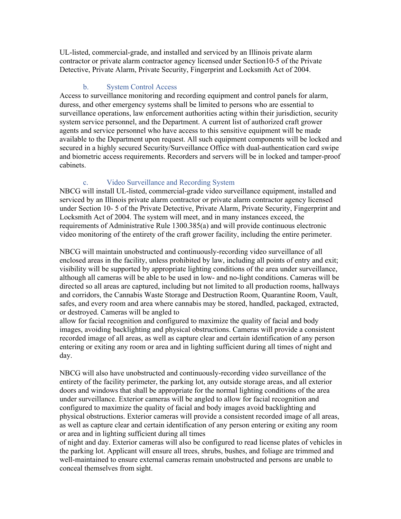UL-listed, commercial-grade, and installed and serviced by an Illinois private alarm contractor or private alarm contractor agency licensed under Section10-5 of the Private Detective, Private Alarm, Private Security, Fingerprint and Locksmith Act of 2004.

### b. System Control Access

Access to surveillance monitoring and recording equipment and control panels for alarm, duress, and other emergency systems shall be limited to persons who are essential to surveillance operations, law enforcement authorities acting within their jurisdiction, security system service personnel, and the Department. A current list of authorized craft grower agents and service personnel who have access to this sensitive equipment will be made available to the Department upon request. All such equipment components will be locked and secured in a highly secured Security/Surveillance Office with dual-authentication card swipe and biometric access requirements. Recorders and servers will be in locked and tamper-proof cabinets.

# c. Video Surveillance and Recording System

NBCG will install UL-listed, commercial-grade video surveillance equipment, installed and serviced by an Illinois private alarm contractor or private alarm contractor agency licensed under Section 10- 5 of the Private Detective, Private Alarm, Private Security, Fingerprint and Locksmith Act of 2004. The system will meet, and in many instances exceed, the requirements of Administrative Rule 1300.385(a) and will provide continuous electronic video monitoring of the entirety of the craft grower facility, including the entire perimeter.

NBCG will maintain unobstructed and continuously-recording video surveillance of all enclosed areas in the facility, unless prohibited by law, including all points of entry and exit; visibility will be supported by appropriate lighting conditions of the area under surveillance, although all cameras will be able to be used in low- and no-light conditions. Cameras will be directed so all areas are captured, including but not limited to all production rooms, hallways and corridors, the Cannabis Waste Storage and Destruction Room, Quarantine Room, Vault, safes, and every room and area where cannabis may be stored, handled, packaged, extracted, or destroyed. Cameras will be angled to

allow for facial recognition and configured to maximize the quality of facial and body images, avoiding backlighting and physical obstructions. Cameras will provide a consistent recorded image of all areas, as well as capture clear and certain identification of any person entering or exiting any room or area and in lighting sufficient during all times of night and day.

NBCG will also have unobstructed and continuously-recording video surveillance of the entirety of the facility perimeter, the parking lot, any outside storage areas, and all exterior doors and windows that shall be appropriate for the normal lighting conditions of the area under surveillance. Exterior cameras will be angled to allow for facial recognition and configured to maximize the quality of facial and body images avoid backlighting and physical obstructions. Exterior cameras will provide a consistent recorded image of all areas, as well as capture clear and certain identification of any person entering or exiting any room or area and in lighting sufficient during all times

of night and day. Exterior cameras will also be configured to read license plates of vehicles in the parking lot. Applicant will ensure all trees, shrubs, bushes, and foliage are trimmed and well-maintained to ensure external cameras remain unobstructed and persons are unable to conceal themselves from sight.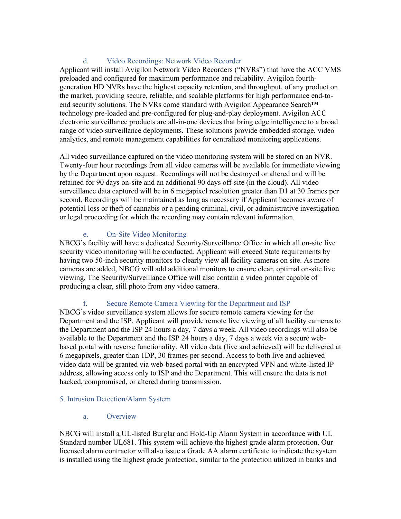# d. Video Recordings: Network Video Recorder

Applicant will install Avigilon Network Video Recorders ("NVRs") that have the ACC VMS preloaded and configured for maximum performance and reliability. Avigilon fourthgeneration HD NVRs have the highest capacity retention, and throughput, of any product on the market, providing secure, reliable, and scalable platforms for high performance end-toend security solutions. The NVRs come standard with Avigilon Appearance Search™ technology pre-loaded and pre-configured for plug-and-play deployment. Avigilon ACC electronic surveillance products are all-in-one devices that bring edge intelligence to a broad range of video surveillance deployments. These solutions provide embedded storage, video analytics, and remote management capabilities for centralized monitoring applications.

All video surveillance captured on the video monitoring system will be stored on an NVR. Twenty-four hour recordings from all video cameras will be available for immediate viewing by the Department upon request. Recordings will not be destroyed or altered and will be retained for 90 days on-site and an additional 90 days off-site (in the cloud). All video surveillance data captured will be in 6 megapixel resolution greater than D1 at 30 frames per second. Recordings will be maintained as long as necessary if Applicant becomes aware of potential loss or theft of cannabis or a pending criminal, civil, or administrative investigation or legal proceeding for which the recording may contain relevant information.

# e. On-Site Video Monitoring

NBCG's facility will have a dedicated Security/Surveillance Office in which all on‐site live security video monitoring will be conducted. Applicant will exceed State requirements by having two 50-inch security monitors to clearly view all facility cameras on site. As more cameras are added, NBCG will add additional monitors to ensure clear, optimal on-site live viewing. The Security/Surveillance Office will also contain a video printer capable of producing a clear, still photo from any video camera.

# f. Secure Remote Camera Viewing for the Department and ISP

NBCG's video surveillance system allows for secure remote camera viewing for the Department and the ISP. Applicant will provide remote live viewing of all facility cameras to the Department and the ISP 24 hours a day, 7 days a week. All video recordings will also be available to the Department and the ISP 24 hours a day, 7 days a week via a secure webbased portal with reverse functionality. All video data (live and achieved) will be delivered at 6 megapixels, greater than 1DP, 30 frames per second. Access to both live and achieved video data will be granted via web-based portal with an encrypted VPN and white-listed IP address, allowing access only to ISP and the Department. This will ensure the data is not hacked, compromised, or altered during transmission.

# 5. Intrusion Detection/Alarm System

a. Overview

NBCG will install a UL-listed Burglar and Hold-Up Alarm System in accordance with UL Standard number UL681. This system will achieve the highest grade alarm protection. Our licensed alarm contractor will also issue a Grade AA alarm certificate to indicate the system is installed using the highest grade protection, similar to the protection utilized in banks and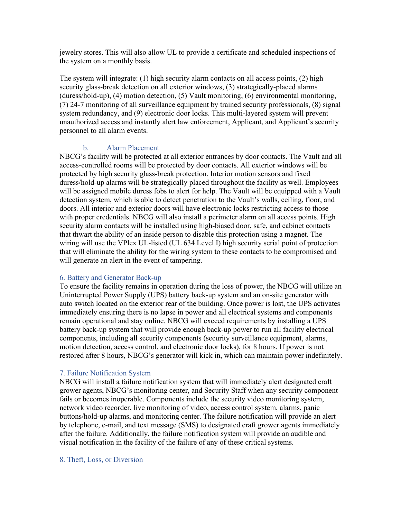jewelry stores. This will also allow UL to provide a certificate and scheduled inspections of the system on a monthly basis.

The system will integrate: (1) high security alarm contacts on all access points, (2) high security glass-break detection on all exterior windows, (3) strategically-placed alarms (duress/hold-up), (4) motion detection, (5) Vault monitoring, (6) environmental monitoring, (7) 24-7 monitoring of all surveillance equipment by trained security professionals, (8) signal system redundancy, and (9) electronic door locks. This multi-layered system will prevent unauthorized access and instantly alert law enforcement, Applicant, and Applicant's security personnel to all alarm events.

#### b. Alarm Placement

NBCG's facility will be protected at all exterior entrances by door contacts. The Vault and all access-controlled rooms will be protected by door contacts. All exterior windows will be protected by high security glass-break protection. Interior motion sensors and fixed duress/hold-up alarms will be strategically placed throughout the facility as well. Employees will be assigned mobile duress fobs to alert for help. The Vault will be equipped with a Vault detection system, which is able to detect penetration to the Vault's walls, ceiling, floor, and doors. All interior and exterior doors will have electronic locks restricting access to those with proper credentials. NBCG will also install a perimeter alarm on all access points. High security alarm contacts will be installed using high-biased door, safe, and cabinet contacts that thwart the ability of an inside person to disable this protection using a magnet. The wiring will use the VPlex UL-listed (UL 634 Level I) high security serial point of protection that will eliminate the ability for the wiring system to these contacts to be compromised and will generate an alert in the event of tampering.

#### 6. Battery and Generator Back-up

To ensure the facility remains in operation during the loss of power, the NBCG will utilize an Uninterrupted Power Supply (UPS) battery back-up system and an on-site generator with auto switch located on the exterior rear of the building. Once power is lost, the UPS activates immediately ensuring there is no lapse in power and all electrical systems and components remain operational and stay online. NBCG will exceed requirements by installing a UPS battery back-up system that will provide enough back-up power to run all facility electrical components, including all security components (security surveillance equipment, alarms, motion detection, access control, and electronic door locks), for 8 hours. If power is not restored after 8 hours, NBCG's generator will kick in, which can maintain power indefinitely.

# 7. Failure Notification System

NBCG will install a failure notification system that will immediately alert designated craft grower agents, NBCG's monitoring center, and Security Staff when any security component fails or becomes inoperable. Components include the security video monitoring system, network video recorder, live monitoring of video, access control system, alarms, panic buttons/hold-up alarms, and monitoring center. The failure notification will provide an alert by telephone, e-mail, and text message (SMS) to designated craft grower agents immediately after the failure. Additionally, the failure notification system will provide an audible and visual notification in the facility of the failure of any of these critical systems.

#### 8. Theft, Loss, or Diversion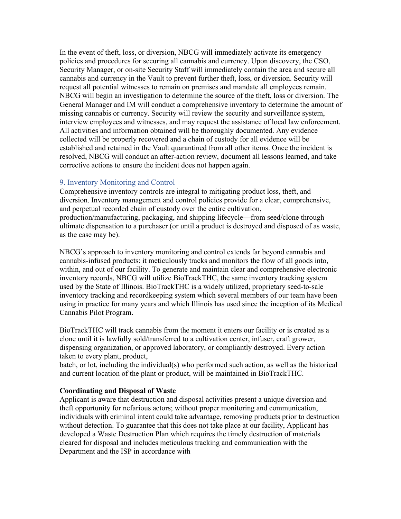In the event of theft, loss, or diversion, NBCG will immediately activate its emergency policies and procedures for securing all cannabis and currency. Upon discovery, the CSO, Security Manager, or on-site Security Staff will immediately contain the area and secure all cannabis and currency in the Vault to prevent further theft, loss, or diversion. Security will request all potential witnesses to remain on premises and mandate all employees remain. NBCG will begin an investigation to determine the source of the theft, loss or diversion. The General Manager and IM will conduct a comprehensive inventory to determine the amount of missing cannabis or currency. Security will review the security and surveillance system, interview employees and witnesses, and may request the assistance of local law enforcement. All activities and information obtained will be thoroughly documented. Any evidence collected will be properly recovered and a chain of custody for all evidence will be established and retained in the Vault quarantined from all other items. Once the incident is resolved, NBCG will conduct an after-action review, document all lessons learned, and take corrective actions to ensure the incident does not happen again.

# 9. Inventory Monitoring and Control

Comprehensive inventory controls are integral to mitigating product loss, theft, and diversion. Inventory management and control policies provide for a clear, comprehensive, and perpetual recorded chain of custody over the entire cultivation, production/manufacturing, packaging, and shipping lifecycle—from seed/clone through ultimate dispensation to a purchaser (or until a product is destroyed and disposed of as waste, as the case may be).

NBCG's approach to inventory monitoring and control extends far beyond cannabis and cannabis-infused products: it meticulously tracks and monitors the flow of all goods into, within, and out of our facility. To generate and maintain clear and comprehensive electronic inventory records, NBCG will utilize BioTrackTHC, the same inventory tracking system used by the State of Illinois. BioTrackTHC is a widely utilized, proprietary seed-to-sale inventory tracking and recordkeeping system which several members of our team have been using in practice for many years and which Illinois has used since the inception of its Medical Cannabis Pilot Program.

BioTrackTHC will track cannabis from the moment it enters our facility or is created as a clone until it is lawfully sold/transferred to a cultivation center, infuser, craft grower, dispensing organization, or approved laboratory, or compliantly destroyed. Every action taken to every plant, product,

batch, or lot, including the individual(s) who performed such action, as well as the historical and current location of the plant or product, will be maintained in BioTrackTHC.

#### **Coordinating and Disposal of Waste**

Applicant is aware that destruction and disposal activities present a unique diversion and theft opportunity for nefarious actors; without proper monitoring and communication, individuals with criminal intent could take advantage, removing products prior to destruction without detection. To guarantee that this does not take place at our facility, Applicant has developed a Waste Destruction Plan which requires the timely destruction of materials cleared for disposal and includes meticulous tracking and communication with the Department and the ISP in accordance with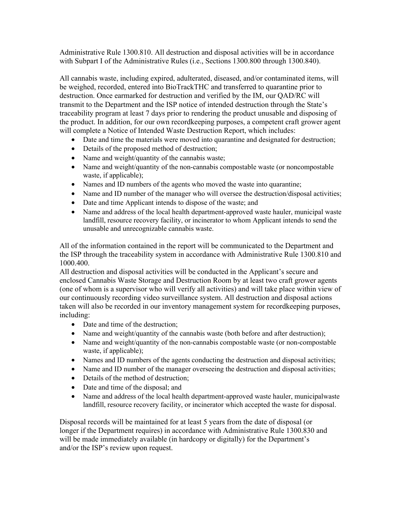Administrative Rule 1300.810. All destruction and disposal activities will be in accordance with Subpart I of the Administrative Rules (i.e., Sections 1300.800 through 1300.840).

All cannabis waste, including expired, adulterated, diseased, and/or contaminated items, will be weighed, recorded, entered into BioTrackTHC and transferred to quarantine prior to destruction. Once earmarked for destruction and verified by the IM, our QAD/RC will transmit to the Department and the ISP notice of intended destruction through the State's traceability program at least 7 days prior to rendering the product unusable and disposing of the product. In addition, for our own recordkeeping purposes, a competent craft grower agent will complete a Notice of Intended Waste Destruction Report, which includes:

- Date and time the materials were moved into quarantine and designated for destruction;
- Details of the proposed method of destruction;
- Name and weight/quantity of the cannabis waste;
- Name and weight/quantity of the non-cannabis compostable waste (or noncompostable waste, if applicable);
- Names and ID numbers of the agents who moved the waste into quarantine;
- Name and ID number of the manager who will oversee the destruction/disposal activities;
- Date and time Applicant intends to dispose of the waste; and
- Name and address of the local health department-approved waste hauler, municipal waste landfill, resource recovery facility, or incinerator to whom Applicant intends to send the unusable and unrecognizable cannabis waste.

All of the information contained in the report will be communicated to the Department and the ISP through the traceability system in accordance with Administrative Rule 1300.810 and 1000.400.

All destruction and disposal activities will be conducted in the Applicant's secure and enclosed Cannabis Waste Storage and Destruction Room by at least two craft grower agents (one of whom is a supervisor who will verify all activities) and will take place within view of our continuously recording video surveillance system. All destruction and disposal actions taken will also be recorded in our inventory management system for recordkeeping purposes, including:

- Date and time of the destruction;
- Name and weight/quantity of the cannabis waste (both before and after destruction);
- Name and weight/quantity of the non-cannabis compostable waste (or non-compostable waste, if applicable);
- Names and ID numbers of the agents conducting the destruction and disposal activities;
- Name and ID number of the manager overseeing the destruction and disposal activities;
- Details of the method of destruction;
- Date and time of the disposal; and
- Name and address of the local health department-approved waste hauler, municipalwaste landfill, resource recovery facility, or incinerator which accepted the waste for disposal.

Disposal records will be maintained for at least 5 years from the date of disposal (or longer if the Department requires) in accordance with Administrative Rule 1300.830 and will be made immediately available (in hardcopy or digitally) for the Department's and/or the ISP's review upon request.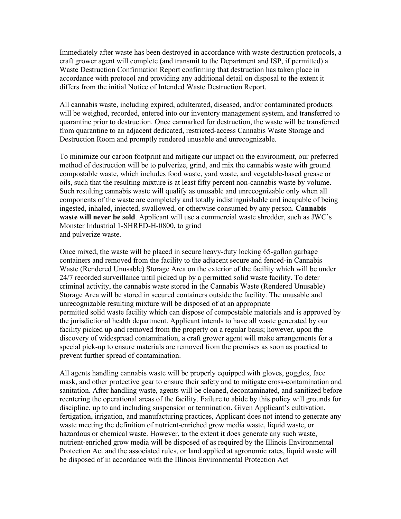Immediately after waste has been destroyed in accordance with waste destruction protocols, a craft grower agent will complete (and transmit to the Department and ISP, if permitted) a Waste Destruction Confirmation Report confirming that destruction has taken place in accordance with protocol and providing any additional detail on disposal to the extent it differs from the initial Notice of Intended Waste Destruction Report.

All cannabis waste, including expired, adulterated, diseased, and/or contaminated products will be weighed, recorded, entered into our inventory management system, and transferred to quarantine prior to destruction. Once earmarked for destruction, the waste will be transferred from quarantine to an adjacent dedicated, restricted-access Cannabis Waste Storage and Destruction Room and promptly rendered unusable and unrecognizable.

To minimize our carbon footprint and mitigate our impact on the environment, our preferred method of destruction will be to pulverize, grind, and mix the cannabis waste with ground compostable waste, which includes food waste, yard waste, and vegetable-based grease or oils, such that the resulting mixture is at least fifty percent non-cannabis waste by volume. Such resulting cannabis waste will qualify as unusable and unrecognizable only when all components of the waste are completely and totally indistinguishable and incapable of being ingested, inhaled, injected, swallowed, or otherwise consumed by any person. **Cannabis waste will never be sold**. Applicant will use a commercial waste shredder, such as JWC's Monster Industrial 1-SHRED-H-0800, to grind and pulverize waste.

Once mixed, the waste will be placed in secure heavy-duty locking 65-gallon garbage containers and removed from the facility to the adjacent secure and fenced-in Cannabis Waste (Rendered Unusable) Storage Area on the exterior of the facility which will be under 24/7 recorded surveillance until picked up by a permitted solid waste facility. To deter criminal activity, the cannabis waste stored in the Cannabis Waste (Rendered Unusable) Storage Area will be stored in secured containers outside the facility. The unusable and unrecognizable resulting mixture will be disposed of at an appropriate permitted solid waste facility which can dispose of compostable materials and is approved by the jurisdictional health department. Applicant intends to have all waste generated by our facility picked up and removed from the property on a regular basis; however, upon the discovery of widespread contamination, a craft grower agent will make arrangements for a special pick-up to ensure materials are removed from the premises as soon as practical to prevent further spread of contamination.

All agents handling cannabis waste will be properly equipped with gloves, goggles, face mask, and other protective gear to ensure their safety and to mitigate cross-contamination and sanitation. After handling waste, agents will be cleaned, decontaminated, and sanitized before reentering the operational areas of the facility. Failure to abide by this policy will grounds for discipline, up to and including suspension or termination. Given Applicant's cultivation, fertigation, irrigation, and manufacturing practices, Applicant does not intend to generate any waste meeting the definition of nutrient-enriched grow media waste, liquid waste, or hazardous or chemical waste. However, to the extent it does generate any such waste, nutrient-enriched grow media will be disposed of as required by the Illinois Environmental Protection Act and the associated rules, or land applied at agronomic rates, liquid waste will be disposed of in accordance with the Illinois Environmental Protection Act